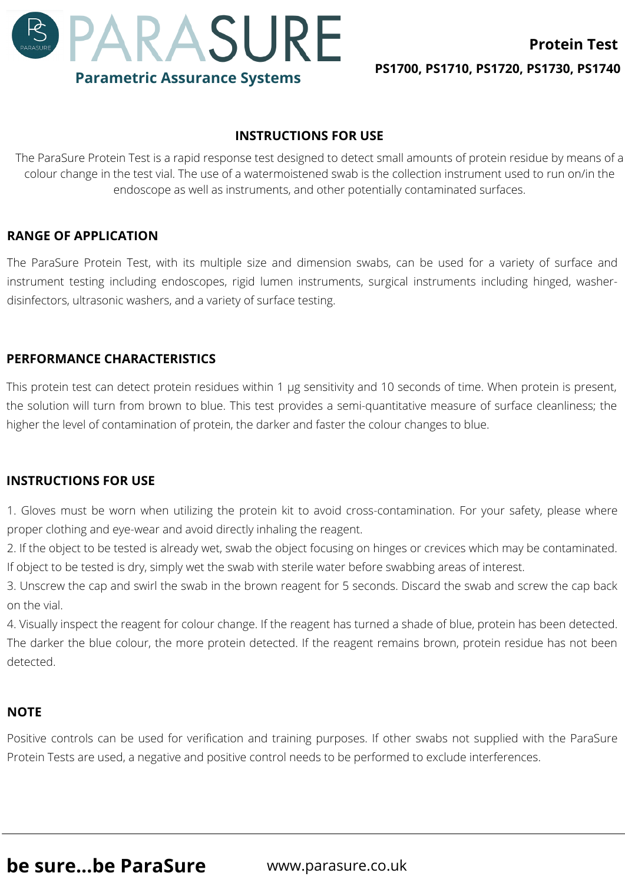

# **INSTRUCTIONS FOR USE**

The ParaSure Protein Test is a rapid response test designed to detect small amounts of protein residue by means of a colour change in the test vial. The use of a watermoistened swab is the collection instrument used to run on/in the endoscope as well as instruments, and other potentially contaminated surfaces.

## **RANGE OF APPLICATION**

The ParaSure Protein Test, with its multiple size and dimension swabs, can be used for a variety of surface and instrument testing including endoscopes, rigid lumen instruments, surgical instruments including hinged, washerdisinfectors, ultrasonic washers, and a variety of surface testing.

# **PERFORMANCE CHARACTERISTICS**

This protein test can detect protein residues within 1 μg sensitivity and 10 seconds of time. When protein is present, the solution will turn from brown to blue. This test provides a semi-quantitative measure of surface cleanliness; the higher the level of contamination of protein, the darker and faster the colour changes to blue.

### **INSTRUCTIONS FOR USE**

1. Gloves must be worn when utilizing the protein kit to avoid cross-contamination. For your safety, please where proper clothing and eye-wear and avoid directly inhaling the reagent.

2. If the object to be tested is already wet, swab the object focusing on hinges or crevices which may be contaminated. If object to be tested is dry, simply wet the swab with sterile water before swabbing areas of interest.

3. Unscrew the cap and swirl the swab in the brown reagent for 5 seconds. Discard the swab and screw the cap back on the vial.

4. Visually inspect the reagent for colour change. If the reagent has turned a shade of blue, protein has been detected. The darker the blue colour, the more protein detected. If the reagent remains brown, protein residue has not been detected.

### **NOTE**

Positive controls can be used for verification and training purposes. If other swabs not supplied with the ParaSure Protein Tests are used, a negative and positive control needs to be performed to exclude interferences.

**be sure...be ParaSure** www.parasure.co.uk